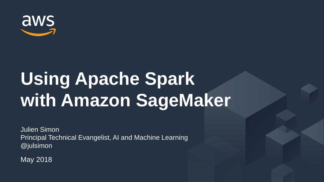

# **Using Apache Spark with Amazon SageMaker**

Julien Simon Principal Technical Evangelist, AI and Machine Learning @julsimon

May 2018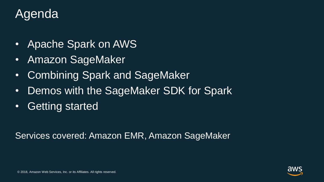### **Agenda**

- Apache Spark on AWS
- Amazon SageMaker
- Combining Spark and SageMaker
- Demos with the SageMaker SDK for Spark
- Getting started

Services covered: Amazon EMR, Amazon SageMaker

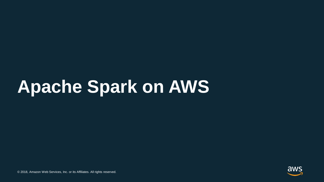### **Apache Spark on AWS**

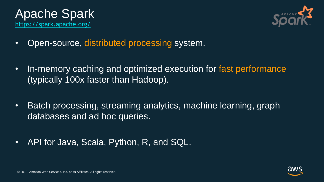



- Open-source, distributed processing system.
- In-memory caching and optimized execution for fast performance (typically 100x faster than Hadoop).
- Batch processing, streaming analytics, machine learning, graph databases and ad hoc queries.
- API for Java, Scala, Python, R, and SQL.

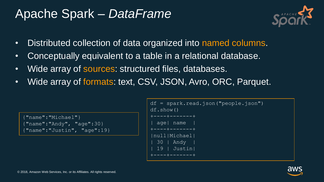### Apache Spark – *DataFrame*



- Distributed collection of data organized into named columns.
- Conceptually equivalent to a table in a relational database.
- Wide array of sources: structured files, databases.
- Wide array of formats: text, CSV, JSON, Avro, ORC, Parquet.

```
{"name":"Michael"}
{"name":"Andy", "age":30}
{"name":"Justin", "age":19}
```

```
df = spark.read.json("people.json") 
df.show()
   +----+-------+
  age | name
 +----+-------+
|null|Michael|
  | 30 | Andy |
        | 19 | Justin|
+----+-------+
```
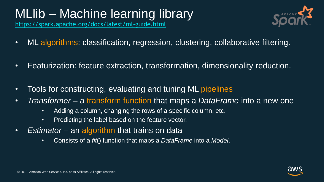### MLlib – Machine learning library

<https://spark.apache.org/docs/latest/ml-guide.html>



- ML algorithms: classification, regression, clustering, collaborative filtering.
- Featurization: feature extraction, transformation, dimensionality reduction.
- Tools for constructing, evaluating and tuning ML pipelines
- *Transformer* a transform function that maps a *DataFrame* into a new one
	- Adding a column, changing the rows of a specific column, etc.
	- Predicting the label based on the feature vector.
- *Estimator* an algorithm that trains on data
	- Consists of a *fit*() function that maps a *DataFrame* into a *Model*.

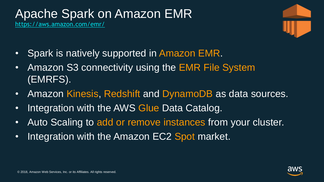### Apache Spark on Amazon EMR

[https://aws.amazon.com/emr/](https://aws.amazon.com/fr/emr/)



- Spark is natively supported in Amazon EMR.
- Amazon S3 connectivity using the EMR File System (EMRFS).
- Amazon Kinesis, Redshift and DynamoDB as data sources.
- Integration with the AWS Glue Data Catalog.
- Auto Scaling to add or remove instances from your cluster.
- Integration with the Amazon EC2 Spot market.

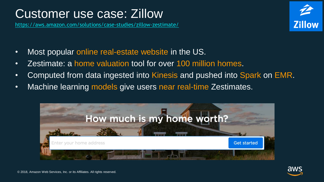### Customer use case: Zillow

<https://aws.amazon.com/solutions/case-studies/zillow-zestimate/>



- Most popular online real-estate website in the US.
- Zestimate: a home valuation tool for over 100 million homes.
- Computed from data ingested into Kinesis and pushed into Spark on EMR.
- Machine learning models give users near real-time Zestimates.



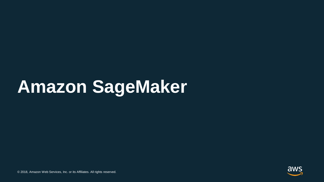### **Amazon SageMaker**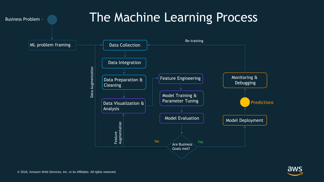

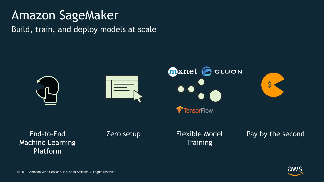#### Amazon SageMaker

Build, train, and deploy models at scale





Platform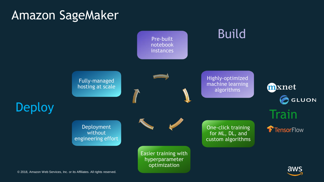#### Amazon SageMaker

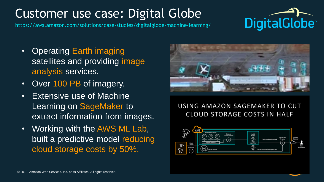### Customer use case: Digital Globe

[https://aws.amazon.com/solutions/case-studies/digitalglobe-machine-learning/](https://aws.amazon.com/fr/solutions/case-studies/digitalglobe-machine-learning/)



- Operating Earth imaging satellites and providing image analysis services.
- Over 100 PB of imagery.
- Extensive use of Machine Learning on SageMaker to extract information from images.
- Working with the AWS ML Lab, built a predictive model reducing cloud storage costs by 50%.



#### USING AMAZON SAGEMAKER TO CUT **CLOUD STORAGE COSTS IN HALF**

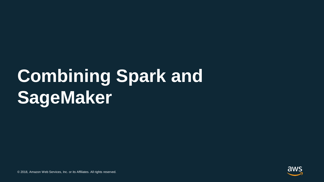# **Combining Spark and SageMaker**

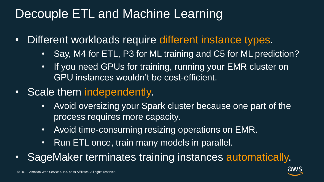### Decouple ETL and Machine Learning

- Different workloads require different instance types.
	- Say, M4 for ETL, P3 for ML training and C5 for ML prediction?
	- If you need GPUs for training, running your EMR cluster on GPU instances wouldn't be cost-efficient.
- Scale them independently.
	- Avoid oversizing your Spark cluster because one part of the process requires more capacity.
	- Avoid time-consuming resizing operations on EMR.
	- Run ETL once, train many models in parallel.
- SageMaker terminates training instances automatically.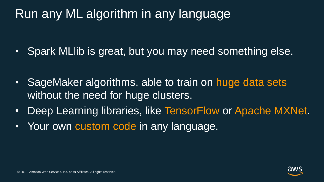### Run any ML algorithm in any language

• Spark MLlib is great, but you may need something else.

- SageMaker algorithms, able to train on huge data sets without the need for huge clusters.
- Deep Learning libraries, like TensorFlow or Apache MXNet.
- Your own custom code in any language.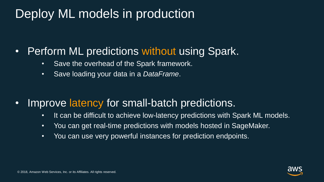### Deploy ML models in production

#### • Perform ML predictions without using Spark.

- Save the overhead of the Spark framework.
- Save loading your data in a *DataFrame*.

- Improve latency for small-batch predictions.
	- It can be difficult to achieve low-latency predictions with Spark ML models.
	- You can get real-time predictions with models hosted in SageMaker.
	- You can use very powerful instances for prediction endpoints.

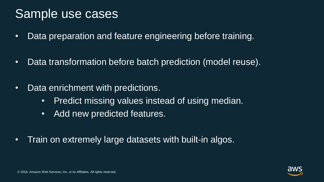#### Sample use cases

- Data preparation and feature engineering before training.
- Data transformation before batch prediction (model reuse).
- Data enrichment with predictions.
	- Predict missing values instead of using median.
	- Add new predicted features.
- Train on extremely large datasets with built-in algos.

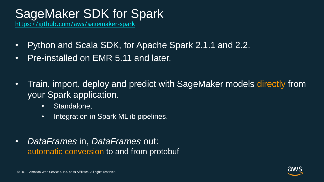### SageMaker SDK for Spark

<https://github.com/aws/sagemaker-spark>

- Python and Scala SDK, for Apache Spark 2.1.1 and 2.2.
- Pre-installed on EMR 5.11 and later.
- Train, import, deploy and predict with SageMaker models directly from your Spark application.
	- Standalone,
	- Integration in Spark MLlib pipelines.
- *DataFrames* in, *DataFrames* out: automatic conversion to and from protobuf

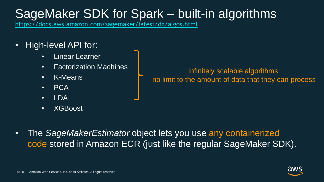### SageMaker SDK for Spark – built-in algorithms

<https://docs.aws.amazon.com/sagemaker/latest/dg/algos.html>

- High-level API for:
	- **Linear Learner**
	- Factorization Machines
	- K-Means
	- PCA
	- $\cdot$  IDA
	- XGBoost

Infinitely scalable algorithms: no limit to the amount of data that they can process

• The *SageMakerEstimator* object lets you use any containerized code stored in Amazon ECR (just like the regular SageMaker SDK).

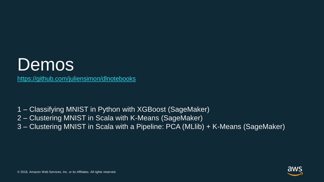

- 1 Classifying MNIST in Python with XGBoost (SageMaker)
- 2 Clustering MNIST in Scala with K-Means (SageMaker)
- 3 Clustering MNIST in Scala with a Pipeline: PCA (MLlib) + K-Means (SageMaker)

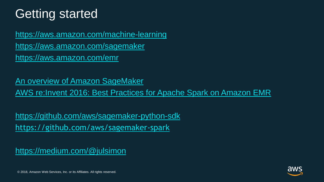### Getting started

<https://aws.amazon.com/machine-learning> <https://aws.amazon.com/sagemaker> <https://aws.amazon.com/emr>

An overview [of Amazon SageMaker](https://www.youtube.com/watch?v=ym7NEYEx9x4) [AWS re:Invent 2016: Best Practices for Apache Spark on Amazon EMR](https://www.youtube.com/watch?v=KfgCJufxI0M)

<https://github.com/aws/sagemaker-python-sdk> <https://github.com/aws/sagemaker-spark>

<https://medium.com/@julsimon>